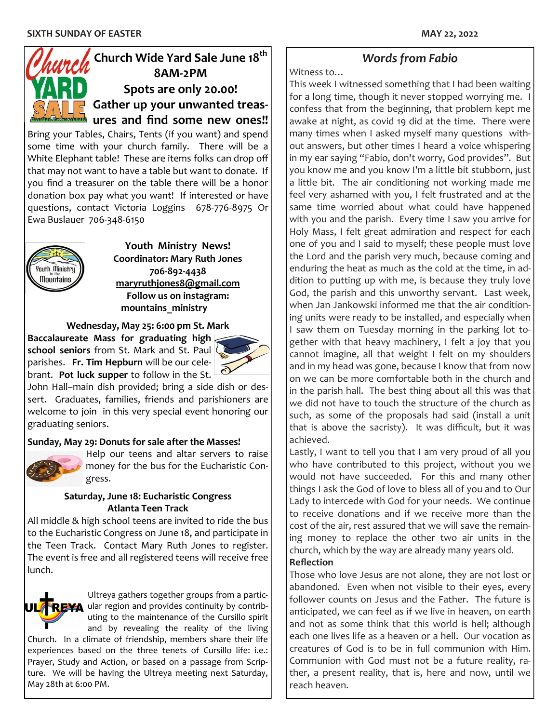# **Church Wide Yard Sale June 18th 8AM-2PM Spots are only 20.00! Gather up your unwanted treasures and find some new ones!!**

Bring your Tables, Chairs, Tents (if you want) and spend some time with your church family. There will be a White Elephant table! These are items folks can drop off that may not want to have a table but want to donate. If you find a treasurer on the table there will be a honor donation box pay what you want! If interested or have questions, contact Victoria Loggins 678-776-8975 Or Ewa Buslauer 706-348-6150



**Youth Ministry News! Coordinator: Mary Ruth Jones 706-892-4438 [maryruthjones8@gmail.com](mailto:maryruthjones8@gmail.com) Follow us on instagram: mountains\_ministry**

**Wednesday, May 25: 6:00 pm St. Mark**

**Baccalaureate Mass for graduating high school seniors** from St. Mark and St. Paul parishes. **Fr. Tim Hepburn** will be our celebrant. **Pot luck supper** to follow in the St.



John Hall–main dish provided; bring a side dish or dessert. Graduates, families, friends and parishioners are welcome to join in this very special event honoring our graduating seniors.

#### **Sunday, May 29: Donuts for sale after the Masses!**



Help our teens and altar servers to raise money for the bus for the Eucharistic Congress.

#### **Saturday, June 18: Eucharistic Congress Atlanta Teen Track**

All middle & high school teens are invited to ride the bus to the Eucharistic Congress on June 18, and participate in the Teen Track. Contact Mary Ruth Jones to register. The event is free and all registered teens will receive free lunch.



Ultreya gathers together groups from a partic- $\blacktriangle$  ular region and provides continuity by contributing to the maintenance of the Cursillo spirit and by revealing the reality of the living

Church. In a climate of friendship, members share their life experiences based on the three tenets of Cursillo life: i.e.: Prayer, Study and Action, or based on a passage from Scripture. We will be having the Ultreya meeting next Saturday, May 28th at 6:00 PM.

# *Words from Fabio*

Witness to…

This week I witnessed something that I had been waiting for a long time, though it never stopped worrying me. I confess that from the beginning, that problem kept me awake at night, as covid 19 did at the time. There were many times when I asked myself many questions without answers, but other times I heard a voice whispering in my ear saying "Fabio, don't worry, God provides". But you know me and you know I'm a little bit stubborn, just a little bit. The air conditioning not working made me feel very ashamed with you, I felt frustrated and at the same time worried about what could have happened with you and the parish. Every time I saw you arrive for Holy Mass, I felt great admiration and respect for each one of you and I said to myself; these people must love the Lord and the parish very much, because coming and enduring the heat as much as the cold at the time, in addition to putting up with me, is because they truly love God, the parish and this unworthy servant. Last week, when Jan Jankowski informed me that the air conditioning units were ready to be installed, and especially when I saw them on Tuesday morning in the parking lot together with that heavy machinery, I felt a joy that you cannot imagine, all that weight I felt on my shoulders and in my head was gone, because I know that from now on we can be more comfortable both in the church and in the parish hall. The best thing about all this was that we did not have to touch the structure of the church as such, as some of the proposals had said (install a unit that is above the sacristy). It was difficult, but it was achieved.

Lastly, I want to tell you that I am very proud of all you who have contributed to this project, without you we would not have succeeded. For this and many other things I ask the God of love to bless all of you and to Our Lady to intercede with God for your needs. We continue to receive donations and if we receive more than the cost of the air, rest assured that we will save the remaining money to replace the other two air units in the church, which by the way are already many years old.

### **Reflection**

Those who love Jesus are not alone, they are not lost or abandoned. Even when not visible to their eyes, every follower counts on Jesus and the Father. The future is anticipated, we can feel as if we live in heaven, on earth and not as some think that this world is hell; although each one lives life as a heaven or a hell. Our vocation as creatures of God is to be in full communion with Him. Communion with God must not be a future reality, rather, a present reality, that is, here and now, until we reach heaven.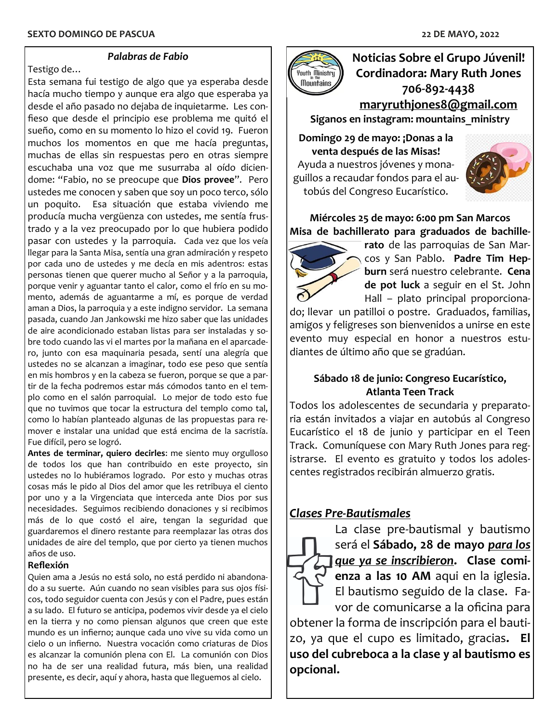#### *Palabras de Fabio*

Testigo de…

Esta semana fui testigo de algo que ya esperaba desde hacía mucho tiempo y aunque era algo que esperaba ya desde el año pasado no dejaba de inquietarme. Les confieso que desde el principio ese problema me quitó el sueño, como en su momento lo hizo el covid 19. Fueron muchos los momentos en que me hacía preguntas, muchas de ellas sin respuestas pero en otras siempre escuchaba una voz que me susurraba al oído diciendome: "Fabio, no se preocupe que **Dios provee**". Pero ustedes me conocen y saben que soy un poco terco, sólo un poquito. Esa situación que estaba viviendo me producía mucha vergüenza con ustedes, me sentía frustrado y a la vez preocupado por lo que hubiera podido pasar con ustedes y la parroquia. Cada vez que los veía llegar para la Santa Misa, sentía una gran admiración y respeto por cada uno de ustedes y me decía en mis adentros: estas personas tienen que querer mucho al Señor y a la parroquia, porque venir y aguantar tanto el calor, como el frío en su momento, además de aguantarme a mí, es porque de verdad aman a Dios, la parroquia y a este indigno servidor. La semana pasada, cuando Jan Jankowski me hizo saber que las unidades de aire acondicionado estaban listas para ser instaladas y sobre todo cuando las vi el martes por la mañana en el aparcadero, junto con esa maquinaria pesada, sentí una alegría que ustedes no se alcanzan a imaginar, todo ese peso que sentía en mis hombros y en la cabeza se fueron, porque se que a partir de la fecha podremos estar más cómodos tanto en el templo como en el salón parroquial. Lo mejor de todo esto fue que no tuvimos que tocar la estructura del templo como tal, como lo habían planteado algunas de las propuestas para remover e instalar una unidad que está encima de la sacristía. Fue difícil, pero se logró.

**Antes de terminar, quiero decirles**: me siento muy orgulloso de todos los que han contribuido en este proyecto, sin ustedes no lo hubiéramos logrado. Por esto y muchas otras cosas más le pido al Dios del amor que les retribuya el ciento por uno y a la Virgenciata que interceda ante Dios por sus necesidades. Seguimos recibiendo donaciones y si recibimos más de lo que costó el aire, tengan la seguridad que guardaremos el dinero restante para reemplazar las otras dos unidades de aire del templo, que por cierto ya tienen muchos años de uso.

#### **Reflexión**

Quien ama a Jesús no está solo, no está perdido ni abandonado a su suerte. Aún cuando no sean visibles para sus ojos físicos, todo seguidor cuenta con Jesús y con el Padre, pues están a su lado. El futuro se anticipa, podemos vivir desde ya el cielo en la tierra y no como piensan algunos que creen que este mundo es un infierno; aunque cada uno vive su vida como un cielo o un infierno. Nuestra vocación como criaturas de Dios es alcanzar la comunión plena con El. La comunión con Dios no ha de ser una realidad futura, más bien, una realidad presente, es decir, aquí y ahora, hasta que lleguemos al cielo.



**Noticias Sobre el Grupo Júvenil! Cordinadora: Mary Ruth Jones 706-892-4438 [maryruthjones8@gmail.com](mailto:maryruthjones8@gmail.com) Siganos en instagram: mountains\_ministry**

**Domingo 29 de mayo: ¡Donas a la venta después de las Misas!** Ayuda a nuestros jóvenes y monaguillos a recaudar fondos para el autobús del Congreso Eucarístico.



**Miércoles 25 de mayo: 6:00 pm San Marcos Misa de bachillerato para graduados de bachille-**



**rato** de las parroquias de San Marcos y San Pablo. **Padre Tim Hepburn** será nuestro celebrante. **Cena de pot luck** a seguir en el St. John Hall – plato principal proporciona-

do; llevar un patilloi o postre. Graduados, familias, amigos y feligreses son bienvenidos a unirse en este evento muy especial en honor a nuestros estudiantes de último año que se gradúan.

### **Sábado 18 de junio: Congreso Eucarístico, Atlanta Teen Track**

Todos los adolescentes de secundaria y preparatoria están invitados a viajar en autobús al Congreso Eucarístico el 18 de junio y participar en el Teen Track. Comuníquese con Mary Ruth Jones para registrarse. El evento es gratuito y todos los adolescentes registrados recibirán almuerzo gratis.

# *Clases Pre-Bautismales*



La clase pre-bautismal y bautismo será el **Sábado, 28 de mayo** *para los que ya se inscribieron***. Clase comienza a las 10 AM** aqui en la iglesia. El bautismo seguido de la clase. Favor de comunicarse a la oficina para

obtener la forma de inscripción para el bautizo, ya que el cupo es limitado, gracias**. El uso del cubreboca a la clase y al bautismo es opcional.**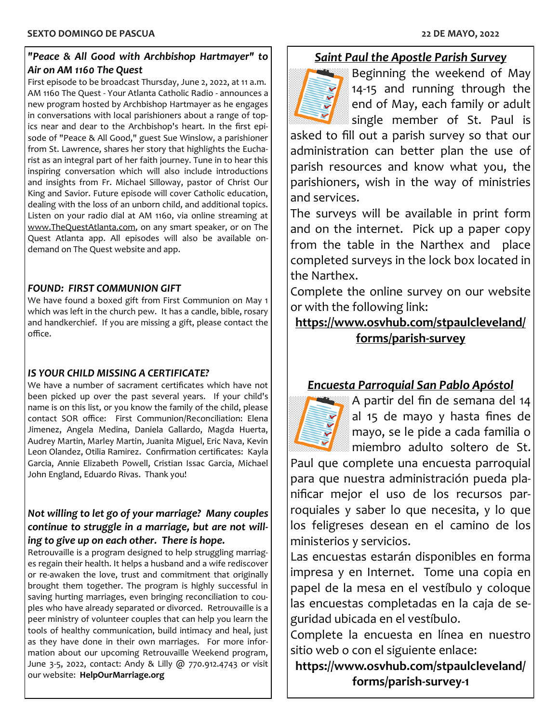#### *"Peace & All Good with Archbishop Hartmayer" to Air on AM 1160 The Quest*

First episode to be broadcast Thursday, June 2, 2022, at 11 a.m. AM 1160 The Quest - Your Atlanta Catholic Radio - announces a new program hosted by Archbishop Hartmayer as he engages in conversations with local parishioners about a range of topics near and dear to the Archbishop's heart. In the first episode of "Peace & All Good," guest Sue Winslow, a parishioner from St. Lawrence, shares her story that highlights the Eucharist as an integral part of her faith journey. Tune in to hear this inspiring conversation which will also include introductions and insights from Fr. Michael Silloway, pastor of Christ Our King and Savior. Future episode will cover Catholic education, dealing with the loss of an unborn child, and additional topics. Listen on your radio dial at AM 1160, via online streaming at [www.TheQuestAtlanta.com,](https://www.TheQuestAtlanta.com) on any smart speaker, or on The Quest Atlanta app. All episodes will also be available ondemand on The Quest website and app.

### *FOUND: FIRST COMMUNION GIFT*

We have found a boxed gift from First Communion on May 1 which was left in the church pew. It has a candle, bible, rosary and handkerchief. If you are missing a gift, please contact the office.

### *IS YOUR CHILD MISSING A CERTIFICATE?*

We have a number of sacrament certificates which have not been picked up over the past several years. If your child's name is on this list, or you know the family of the child, please contact SOR office: First Communion/Reconciliation: Elena Jimenez, Angela Medina, Daniela Gallardo, Magda Huerta, Audrey Martin, Marley Martin, Juanita Miguel, Eric Nava, Kevin Leon Olandez, Otilia Ramirez. Confirmation certificates: Kayla Garcia, Annie Elizabeth Powell, Cristian Issac Garcia, Michael John England, Eduardo Rivas. Thank you!

### *Not willing to let go of your marriage? Many couples continue to struggle in a marriage, but are not willing to give up on each other. There is hope.*

Retrouvaille is a program designed to help struggling marriages regain their health. It helps a husband and a wife rediscover or re-awaken the love, trust and commitment that originally brought them together. The program is highly successful in saving hurting marriages, even bringing reconciliation to couples who have already separated or divorced. Retrouvaille is a peer ministry of volunteer couples that can help you learn the tools of healthy communication, build intimacy and heal, just as they have done in their own marriages. For more information about our upcoming Retrouvaille Weekend program, June 3-5, 2022, contact: Andy & Lilly @ 770.912.4743 or visit our website: **HelpOurMarriage.org**

# *Saint Paul the Apostle Parish Survey*

Beginning the weekend of May 14-15 and running through the end of May, each family or adult single member of St. Paul is

asked to fill out a parish survey so that our administration can better plan the use of parish resources and know what you, the parishioners, wish in the way of ministries and services.

The surveys will be available in print form and on the internet. Pick up a paper copy from the table in the Narthex and place completed surveys in the lock box located in the Narthex.

Complete the online survey on our website or with the following link:

**[https://www.osvhub.com/stpaulcleveland/](https://www.osvhub.com/stpaulcleveland/forms/parish-survey) [forms/parish](https://www.osvhub.com/stpaulcleveland/forms/parish-survey)-survey**

# *Encuesta Parroquial San Pablo Apóstol*



A partir del fin de semana del 14 al 15 de mayo y hasta fines de mayo, se le pide a cada familia o miembro adulto soltero de St.

Paul que complete una encuesta parroquial para que nuestra administración pueda planificar mejor el uso de los recursos parroquiales y saber lo que necesita, y lo que los feligreses desean en el camino de los ministerios y servicios.

Las encuestas estarán disponibles en forma impresa y en Internet. Tome una copia en papel de la mesa en el vestíbulo y coloque las encuestas completadas en la caja de seguridad ubicada en el vestíbulo.

Complete la encuesta en línea en nuestro sitio web o con el siguiente enlace:

**https://www.osvhub.com/stpaulcleveland/ forms/parish-survey-1**